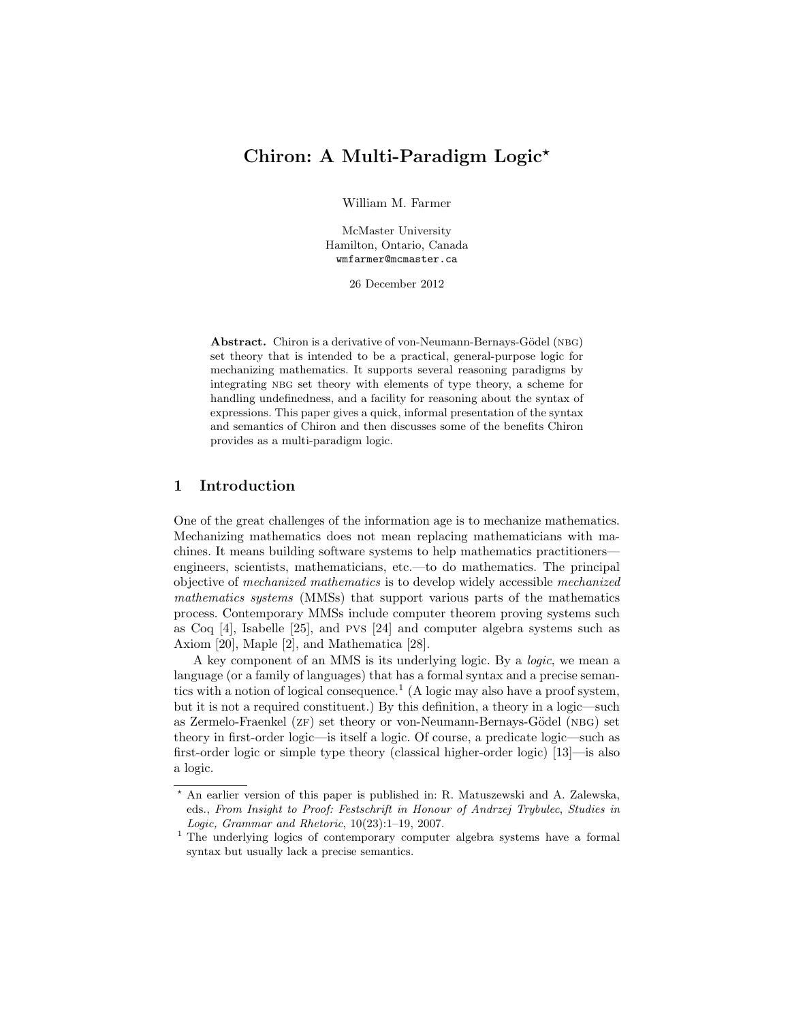# Chiron: A Multi-Paradigm Logic<sup>\*</sup>

William M. Farmer

McMaster University Hamilton, Ontario, Canada wmfarmer@mcmaster.ca

26 December 2012

Abstract. Chiron is a derivative of von-Neumann-Bernays-Gödel (NBG) set theory that is intended to be a practical, general-purpose logic for mechanizing mathematics. It supports several reasoning paradigms by integrating NBG set theory with elements of type theory, a scheme for handling undefinedness, and a facility for reasoning about the syntax of expressions. This paper gives a quick, informal presentation of the syntax and semantics of Chiron and then discusses some of the benefits Chiron provides as a multi-paradigm logic.

# 1 Introduction

One of the great challenges of the information age is to mechanize mathematics. Mechanizing mathematics does not mean replacing mathematicians with machines. It means building software systems to help mathematics practitioners engineers, scientists, mathematicians, etc.—to do mathematics. The principal objective of mechanized mathematics is to develop widely accessible mechanized mathematics systems (MMSs) that support various parts of the mathematics process. Contemporary MMSs include computer theorem proving systems such as Coq [4], Isabelle [25], and pvs [24] and computer algebra systems such as Axiom [20], Maple [2], and Mathematica [28].

A key component of an MMS is its underlying logic. By a logic, we mean a language (or a family of languages) that has a formal syntax and a precise semantics with a notion of logical consequence.<sup>1</sup> (A logic may also have a proof system, but it is not a required constituent.) By this definition, a theory in a logic—such as Zermelo-Fraenkel (ZF) set theory or von-Neumann-Bernays-Gödel (NBG) set theory in first-order logic—is itself a logic. Of course, a predicate logic—such as first-order logic or simple type theory (classical higher-order logic) [13]—is also a logic.

<sup>?</sup> An earlier version of this paper is published in: R. Matuszewski and A. Zalewska, eds., From Insight to Proof: Festschrift in Honour of Andrzej Trybulec, Studies in Logic, Grammar and Rhetoric, 10(23):1–19, 2007.

<sup>&</sup>lt;sup>1</sup> The underlying logics of contemporary computer algebra systems have a formal syntax but usually lack a precise semantics.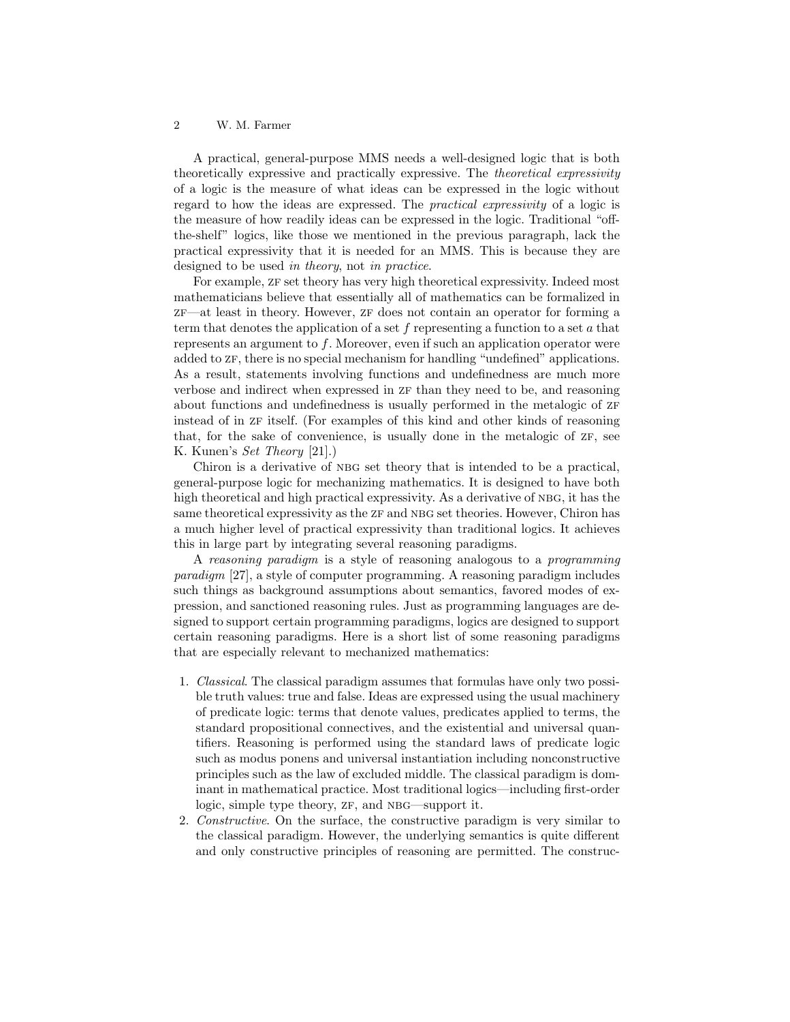A practical, general-purpose MMS needs a well-designed logic that is both theoretically expressive and practically expressive. The theoretical expressivity of a logic is the measure of what ideas can be expressed in the logic without regard to how the ideas are expressed. The practical expressivity of a logic is the measure of how readily ideas can be expressed in the logic. Traditional "offthe-shelf" logics, like those we mentioned in the previous paragraph, lack the practical expressivity that it is needed for an MMS. This is because they are designed to be used in theory, not in practice.

For example,  $ZF$  set theory has very high theoretical expressivity. Indeed most mathematicians believe that essentially all of mathematics can be formalized in  $ZF$ —at least in theory. However,  $ZF$  does not contain an operator for forming a term that denotes the application of a set  $f$  representing a function to a set  $a$  that represents an argument to  $f$ . Moreover, even if such an application operator were added to  $ZF$ , there is no special mechanism for handling "undefined" applications. As a result, statements involving functions and undefinedness are much more verbose and indirect when expressed in  $zF$  than they need to be, and reasoning about functions and undefinedness is usually performed in the metalogic of  $ZF$ instead of in  $z_F$  itself. (For examples of this kind and other kinds of reasoning that, for the sake of convenience, is usually done in the metalogic of  $ZF$ , see K. Kunen's Set Theory [21].)

Chiron is a derivative of nbg set theory that is intended to be a practical, general-purpose logic for mechanizing mathematics. It is designed to have both high theoretical and high practical expressivity. As a derivative of NBG, it has the same theoretical expressivity as the  $z_{\text{F}}$  and NBG set theories. However, Chiron has a much higher level of practical expressivity than traditional logics. It achieves this in large part by integrating several reasoning paradigms.

A reasoning paradigm is a style of reasoning analogous to a programming paradigm [27], a style of computer programming. A reasoning paradigm includes such things as background assumptions about semantics, favored modes of expression, and sanctioned reasoning rules. Just as programming languages are designed to support certain programming paradigms, logics are designed to support certain reasoning paradigms. Here is a short list of some reasoning paradigms that are especially relevant to mechanized mathematics:

- 1. Classical. The classical paradigm assumes that formulas have only two possible truth values: true and false. Ideas are expressed using the usual machinery of predicate logic: terms that denote values, predicates applied to terms, the standard propositional connectives, and the existential and universal quantifiers. Reasoning is performed using the standard laws of predicate logic such as modus ponens and universal instantiation including nonconstructive principles such as the law of excluded middle. The classical paradigm is dominant in mathematical practice. Most traditional logics—including first-order logic, simple type theory,  $ZF$ , and NBG—support it.
- 2. Constructive. On the surface, the constructive paradigm is very similar to the classical paradigm. However, the underlying semantics is quite different and only constructive principles of reasoning are permitted. The construc-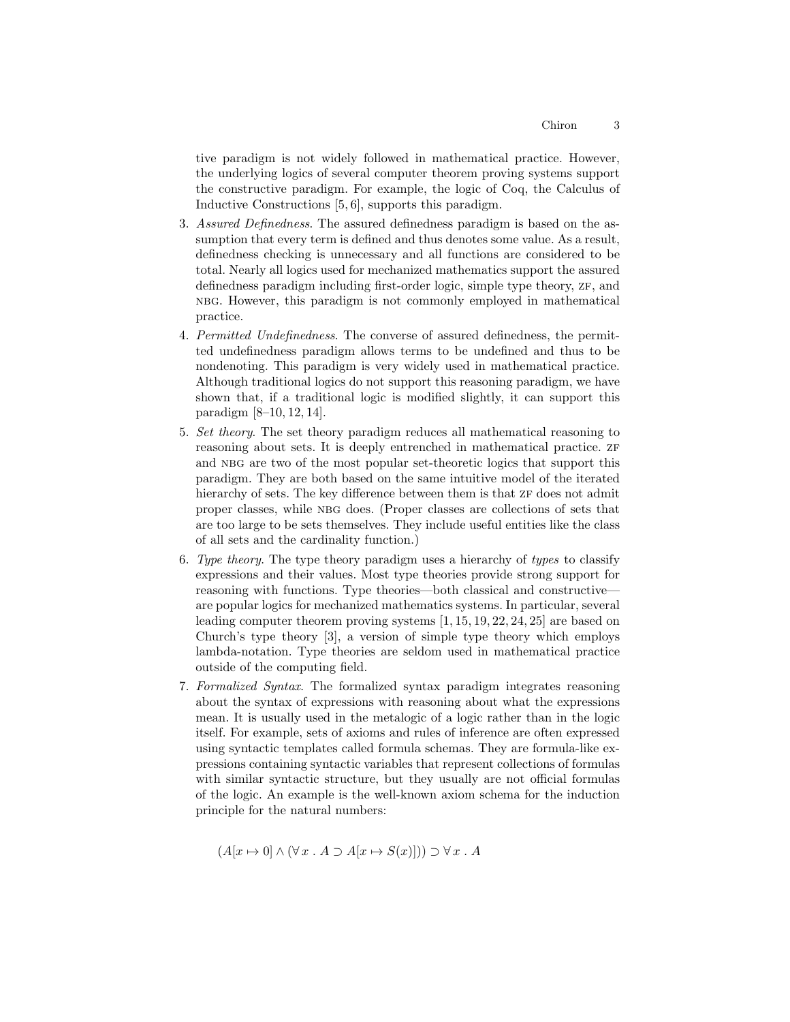tive paradigm is not widely followed in mathematical practice. However, the underlying logics of several computer theorem proving systems support the constructive paradigm. For example, the logic of Coq, the Calculus of Inductive Constructions [5, 6], supports this paradigm.

- 3. Assured Definedness. The assured definedness paradigm is based on the assumption that every term is defined and thus denotes some value. As a result, definedness checking is unnecessary and all functions are considered to be total. Nearly all logics used for mechanized mathematics support the assured definedness paradigm including first-order logic, simple type theory, ZF, and nbg. However, this paradigm is not commonly employed in mathematical practice.
- 4. Permitted Undefinedness. The converse of assured definedness, the permitted undefinedness paradigm allows terms to be undefined and thus to be nondenoting. This paradigm is very widely used in mathematical practice. Although traditional logics do not support this reasoning paradigm, we have shown that, if a traditional logic is modified slightly, it can support this paradigm [8–10, 12, 14].
- 5. Set theory. The set theory paradigm reduces all mathematical reasoning to reasoning about sets. It is deeply entrenched in mathematical practice. ZF and NBG are two of the most popular set-theoretic logics that support this paradigm. They are both based on the same intuitive model of the iterated hierarchy of sets. The key difference between them is that  $2F$  does not admit proper classes, while NBG does. (Proper classes are collections of sets that are too large to be sets themselves. They include useful entities like the class of all sets and the cardinality function.)
- 6. Type theory. The type theory paradigm uses a hierarchy of types to classify expressions and their values. Most type theories provide strong support for reasoning with functions. Type theories—both classical and constructive are popular logics for mechanized mathematics systems. In particular, several leading computer theorem proving systems [1, 15, 19, 22, 24, 25] are based on Church's type theory [3], a version of simple type theory which employs lambda-notation. Type theories are seldom used in mathematical practice outside of the computing field.
- 7. Formalized Syntax. The formalized syntax paradigm integrates reasoning about the syntax of expressions with reasoning about what the expressions mean. It is usually used in the metalogic of a logic rather than in the logic itself. For example, sets of axioms and rules of inference are often expressed using syntactic templates called formula schemas. They are formula-like expressions containing syntactic variables that represent collections of formulas with similar syntactic structure, but they usually are not official formulas of the logic. An example is the well-known axiom schema for the induction principle for the natural numbers:

$$
(A[x \mapsto 0] \wedge (\forall x \cdot A \supset A[x \mapsto S(x)])) \supset \forall x \cdot A
$$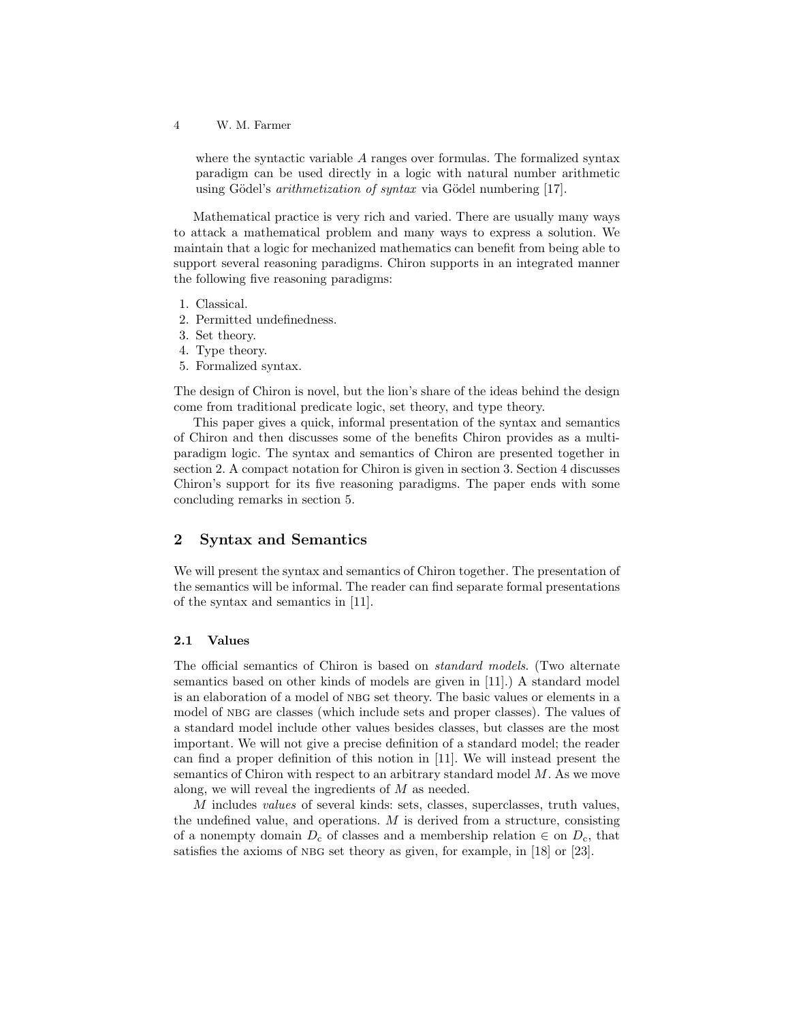where the syntactic variable A ranges over formulas. The formalized syntax paradigm can be used directly in a logic with natural number arithmetic using Gödel's *arithmetization of syntax* via Gödel numbering [17].

Mathematical practice is very rich and varied. There are usually many ways to attack a mathematical problem and many ways to express a solution. We maintain that a logic for mechanized mathematics can benefit from being able to support several reasoning paradigms. Chiron supports in an integrated manner the following five reasoning paradigms:

- 1. Classical.
- 2. Permitted undefinedness.
- 3. Set theory.
- 4. Type theory.
- 5. Formalized syntax.

The design of Chiron is novel, but the lion's share of the ideas behind the design come from traditional predicate logic, set theory, and type theory.

This paper gives a quick, informal presentation of the syntax and semantics of Chiron and then discusses some of the benefits Chiron provides as a multiparadigm logic. The syntax and semantics of Chiron are presented together in section 2. A compact notation for Chiron is given in section 3. Section 4 discusses Chiron's support for its five reasoning paradigms. The paper ends with some concluding remarks in section 5.

# 2 Syntax and Semantics

We will present the syntax and semantics of Chiron together. The presentation of the semantics will be informal. The reader can find separate formal presentations of the syntax and semantics in [11].

### 2.1 Values

The official semantics of Chiron is based on standard models. (Two alternate semantics based on other kinds of models are given in [11].) A standard model is an elaboration of a model of nbg set theory. The basic values or elements in a model of NBG are classes (which include sets and proper classes). The values of a standard model include other values besides classes, but classes are the most important. We will not give a precise definition of a standard model; the reader can find a proper definition of this notion in [11]. We will instead present the semantics of Chiron with respect to an arbitrary standard model  $M$ . As we move along, we will reveal the ingredients of M as needed.

 $M$  includes values of several kinds: sets, classes, superclasses, truth values, the undefined value, and operations.  $M$  is derived from a structure, consisting of a nonempty domain  $D_c$  of classes and a membership relation  $\in$  on  $D_c$ , that satisfies the axioms of NBG set theory as given, for example, in [18] or [23].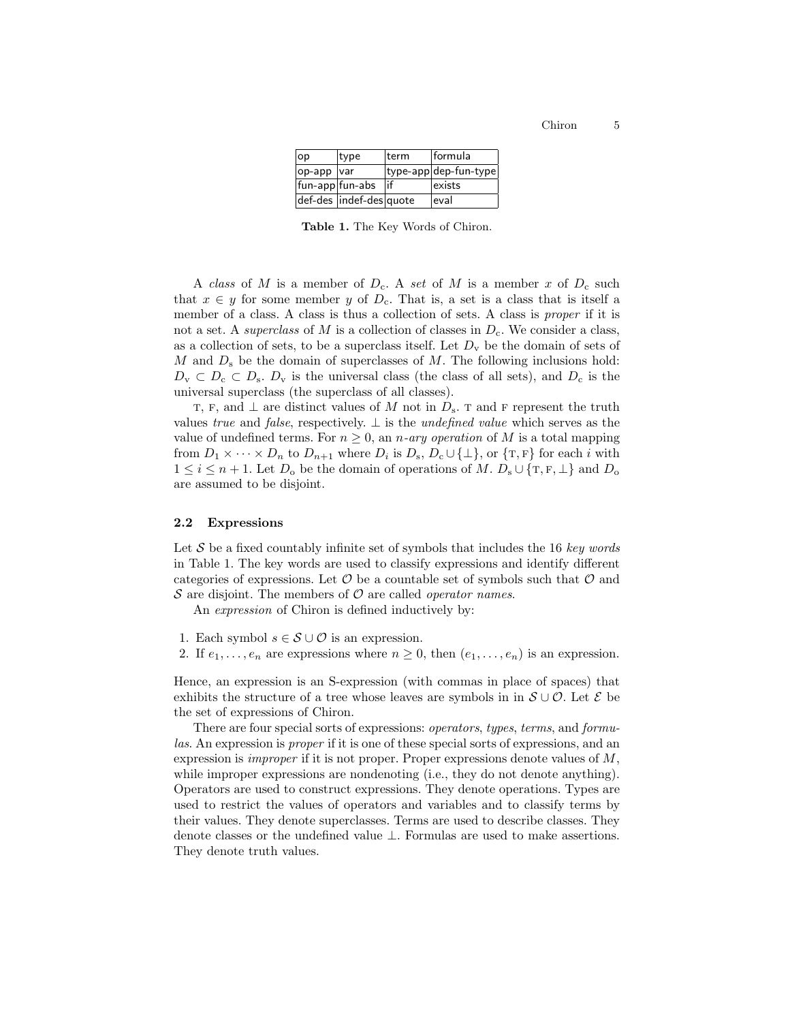| op                | type                    | lterm | lformula              |
|-------------------|-------------------------|-------|-----------------------|
| $op$ -app $ var $ |                         |       | type-app dep-fun-type |
| fun-app fun-abs   |                         | lif   | exists                |
|                   | def-des indef-des quote |       | leval                 |

Table 1. The Key Words of Chiron.

A class of M is a member of  $D_c$ . A set of M is a member x of  $D_c$  such that  $x \in y$  for some member y of  $D_c$ . That is, a set is a class that is itself a member of a class. A class is thus a collection of sets. A class is proper if it is not a set. A *superclass* of M is a collection of classes in  $D<sub>c</sub>$ . We consider a class, as a collection of sets, to be a superclass itself. Let  $D_{\mathbf{v}}$  be the domain of sets of  $M$  and  $D_s$  be the domain of superclasses of  $M$ . The following inclusions hold:  $D_{\rm v} \subset D_{\rm c} \subset D_{\rm s}$ .  $D_{\rm v}$  is the universal class (the class of all sets), and  $D_{\rm c}$  is the universal superclass (the superclass of all classes).

T, F, and  $\perp$  are distinct values of M not in  $D_s$ . T and F represent the truth values true and false, respectively.  $\perp$  is the undefined value which serves as the value of undefined terms. For  $n \geq 0$ , an *n*-ary operation of M is a total mapping from  $D_1 \times \cdots \times D_n$  to  $D_{n+1}$  where  $D_i$  is  $D_s$ ,  $D_c \cup {\{\perp\}}$ , or  ${\{\texttt{T}, \texttt{F}\}}$  for each i with  $1 \leq i \leq n+1$ . Let  $D_{o}$  be the domain of operations of M.  $D_{s} \cup \{T, F, \perp\}$  and  $D_{o}$ are assumed to be disjoint.

#### 2.2 Expressions

Let S be a fixed countably infinite set of symbols that includes the 16 key words in Table 1. The key words are used to classify expressions and identify different categories of expressions. Let  $\mathcal O$  be a countable set of symbols such that  $\mathcal O$  and  $S$  are disjoint. The members of  $O$  are called *operator names*.

An expression of Chiron is defined inductively by:

- 1. Each symbol  $s \in \mathcal{S} \cup \mathcal{O}$  is an expression.
- 2. If  $e_1, \ldots, e_n$  are expressions where  $n \geq 0$ , then  $(e_1, \ldots, e_n)$  is an expression.

Hence, an expression is an S-expression (with commas in place of spaces) that exhibits the structure of a tree whose leaves are symbols in in  $\mathcal{S} \cup \mathcal{O}$ . Let  $\mathcal{E}$  be the set of expressions of Chiron.

There are four special sorts of expressions: operators, types, terms, and formulas. An expression is *proper* if it is one of these special sorts of expressions, and an expression is *improper* if it is not proper. Proper expressions denote values of  $M$ , while improper expressions are nondenoting (i.e., they do not denote anything). Operators are used to construct expressions. They denote operations. Types are used to restrict the values of operators and variables and to classify terms by their values. They denote superclasses. Terms are used to describe classes. They denote classes or the undefined value  $\bot$ . Formulas are used to make assertions. They denote truth values.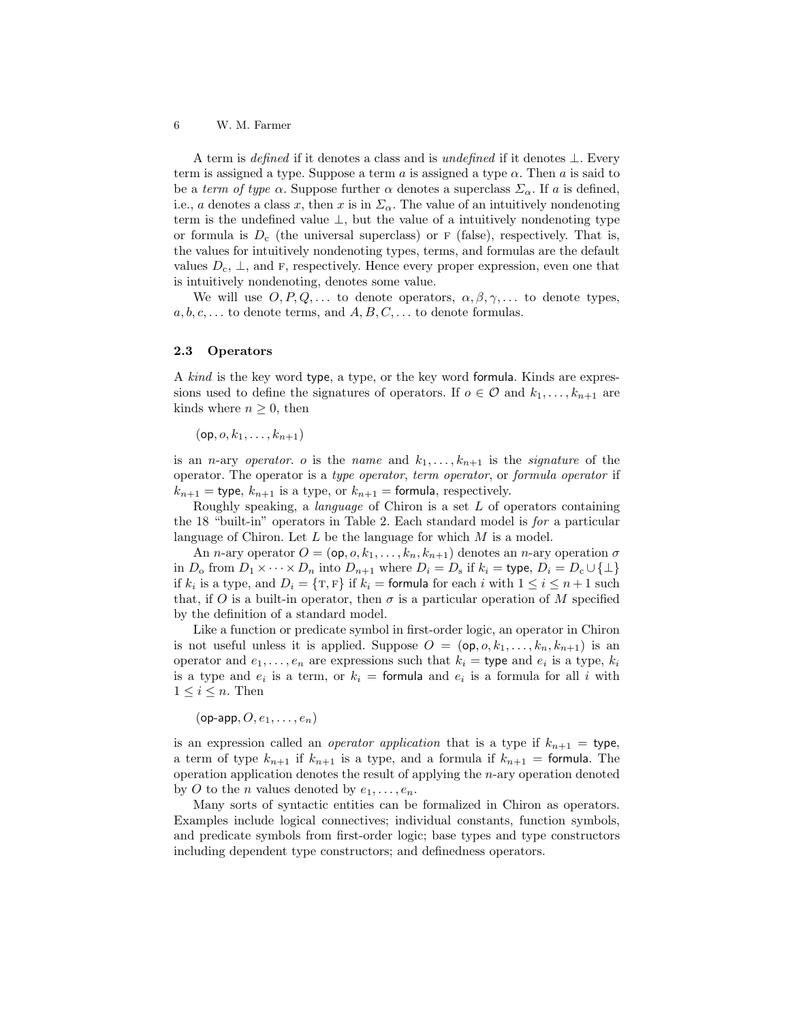A term is *defined* if it denotes a class and is *undefined* if it denotes  $\bot$ . Every term is assigned a type. Suppose a term a is assigned a type  $\alpha$ . Then a is said to be a term of type  $\alpha$ . Suppose further  $\alpha$  denotes a superclass  $\Sigma_{\alpha}$ . If a is defined, i.e., a denotes a class x, then x is in  $\Sigma_{\alpha}$ . The value of an intuitively nondenoting term is the undefined value ⊥, but the value of a intuitively nondenoting type or formula is  $D_c$  (the universal superclass) or F (false), respectively. That is, the values for intuitively nondenoting types, terms, and formulas are the default values  $D_c$ ,  $\perp$ , and F, respectively. Hence every proper expression, even one that is intuitively nondenoting, denotes some value.

We will use  $O, P, Q, \ldots$  to denote operators,  $\alpha, \beta, \gamma, \ldots$  to denote types,  $a, b, c, \ldots$  to denote terms, and  $A, B, C, \ldots$  to denote formulas.

### 2.3 Operators

A kind is the key word type, a type, or the key word formula. Kinds are expressions used to define the signatures of operators. If  $o \in \mathcal{O}$  and  $k_1, \ldots, k_{n+1}$  are kinds where  $n \geq 0$ , then

 $(op, o, k_1, \ldots, k_{n+1})$ 

is an *n*-ary *operator*. *o* is the *name* and  $k_1, \ldots, k_{n+1}$  is the *signature* of the operator. The operator is a type operator, term operator, or formula operator if  $k_{n+1}$  = type,  $k_{n+1}$  is a type, or  $k_{n+1}$  = formula, respectively.

Roughly speaking, a *language* of Chiron is a set  $L$  of operators containing the 18 "built-in" operators in Table 2. Each standard model is for a particular language of Chiron. Let  $L$  be the language for which  $M$  is a model.

An *n*-ary operator  $O = (\mathsf{op}, o, k_1, \ldots, k_n, k_{n+1})$  denotes an *n*-ary operation  $\sigma$ in  $D_0$  from  $D_1 \times \cdots \times D_n$  into  $D_{n+1}$  where  $D_i = D_s$  if  $k_i =$  type,  $D_i = D_c \cup \{\perp\}$ if  $k_i$  is a type, and  $D_i = \{T, F\}$  if  $k_i =$  formula for each i with  $1 \leq i \leq n+1$  such that, if O is a built-in operator, then  $\sigma$  is a particular operation of M specified by the definition of a standard model.

Like a function or predicate symbol in first-order logic, an operator in Chiron is not useful unless it is applied. Suppose  $O = (\mathsf{op}, o, k_1, \ldots, k_n, k_{n+1})$  is an operator and  $e_1, \ldots, e_n$  are expressions such that  $k_i =$  type and  $e_i$  is a type,  $k_i$ is a type and  $e_i$  is a term, or  $k_i =$  formula and  $e_i$  is a formula for all i with  $1 \leq i \leq n$ . Then

 $(\mathsf{op}\text{-}\mathsf{app}, O, e_1, \ldots, e_n)$ 

is an expression called an *operator application* that is a type if  $k_{n+1}$  = type, a term of type  $k_{n+1}$  if  $k_{n+1}$  is a type, and a formula if  $k_{n+1}$  = formula. The operation application denotes the result of applying the n-ary operation denoted by O to the *n* values denoted by  $e_1, \ldots, e_n$ .

Many sorts of syntactic entities can be formalized in Chiron as operators. Examples include logical connectives; individual constants, function symbols, and predicate symbols from first-order logic; base types and type constructors including dependent type constructors; and definedness operators.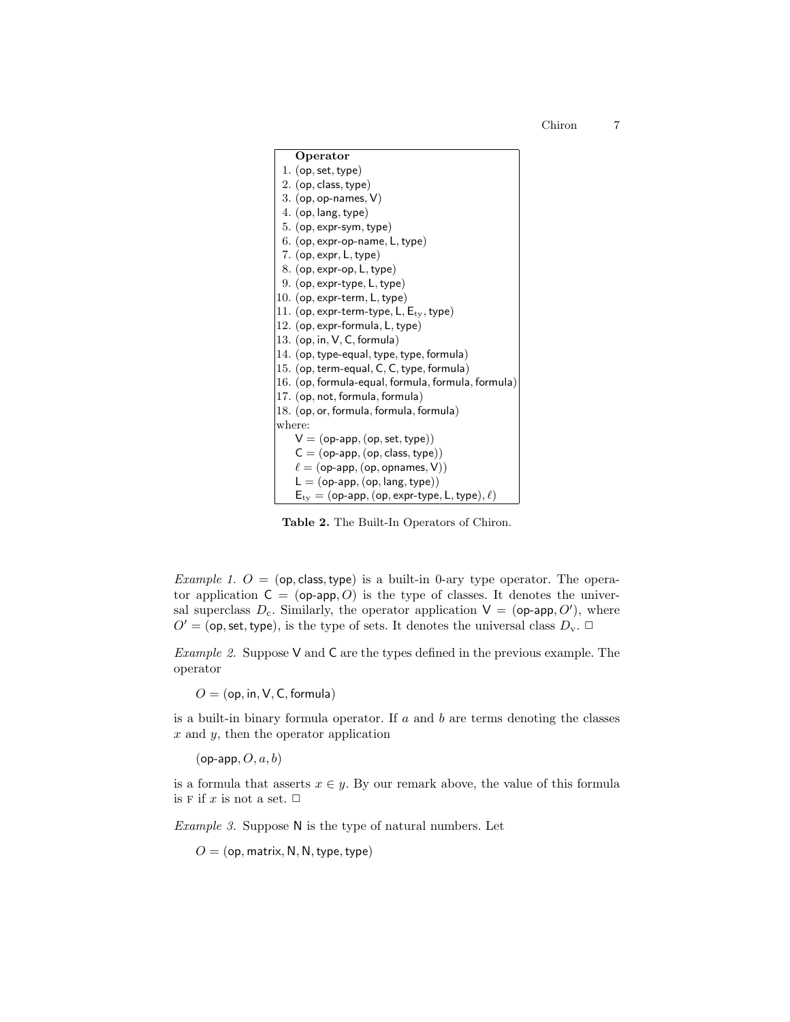

Table 2. The Built-In Operators of Chiron.

*Example 1.*  $O = (op, class, type)$  is a built-in 0-ary type operator. The operator application  $C = (op-app, O)$  is the type of classes. It denotes the universal superclass  $D_c$ . Similarly, the operator application  $V = (op-app, O')$ , where  $O' =$  (op, set, type), is the type of sets. It denotes the universal class  $D_{v}$ .  $\Box$ 

Example 2. Suppose  $V$  and  $C$  are the types defined in the previous example. The operator

 $O = (op, in, V, C, formula)$ 

is a built-in binary formula operator. If  $a$  and  $b$  are terms denoting the classes  $x$  and  $y$ , then the operator application

 $(op\text{-}app, O, a, b)$ 

is a formula that asserts  $x \in y$ . By our remark above, the value of this formula is F if  $x$  is not a set.  $\Box$ 

Example 3. Suppose N is the type of natural numbers. Let

 $O = (op, matrix, N, N, type, type)$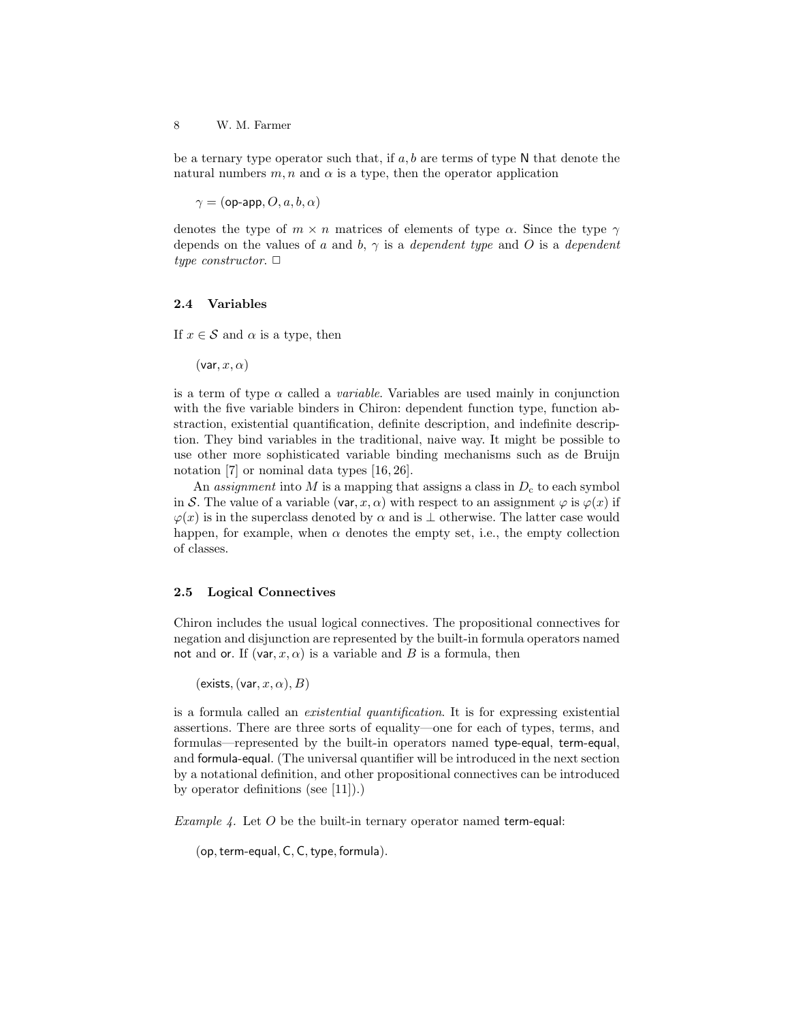be a ternary type operator such that, if  $a, b$  are terms of type N that denote the natural numbers  $m, n$  and  $\alpha$  is a type, then the operator application

 $\gamma = (op-app, O, a, b, \alpha)$ 

denotes the type of  $m \times n$  matrices of elements of type  $\alpha$ . Since the type  $\gamma$ depends on the values of a and b,  $\gamma$  is a dependent type and O is a dependent type constructor.  $\Box$ 

#### 2.4 Variables

If  $x \in \mathcal{S}$  and  $\alpha$  is a type, then

 $(\mathsf{var}, x, \alpha)$ 

is a term of type  $\alpha$  called a *variable*. Variables are used mainly in conjunction with the five variable binders in Chiron: dependent function type, function abstraction, existential quantification, definite description, and indefinite description. They bind variables in the traditional, naive way. It might be possible to use other more sophisticated variable binding mechanisms such as de Bruijn notation [7] or nominal data types [16, 26].

An assignment into M is a mapping that assigns a class in  $D<sub>c</sub>$  to each symbol in S. The value of a variable (var, x,  $\alpha$ ) with respect to an assignment  $\varphi$  is  $\varphi(x)$  if  $\varphi(x)$  is in the superclass denoted by  $\alpha$  and is  $\perp$  otherwise. The latter case would happen, for example, when  $\alpha$  denotes the empty set, i.e., the empty collection of classes.

### 2.5 Logical Connectives

Chiron includes the usual logical connectives. The propositional connectives for negation and disjunction are represented by the built-in formula operators named not and or. If  $(\text{var}, x, \alpha)$  is a variable and B is a formula, then

```
(exists, (\text{var}, x, \alpha), B)
```
is a formula called an existential quantification. It is for expressing existential assertions. There are three sorts of equality—one for each of types, terms, and formulas—represented by the built-in operators named type-equal, term-equal, and formula-equal. (The universal quantifier will be introduced in the next section by a notational definition, and other propositional connectives can be introduced by operator definitions (see [11]).)

*Example 4.* Let  $O$  be the built-in ternary operator named term-equal:

(op, term-equal, C, C, type, formula).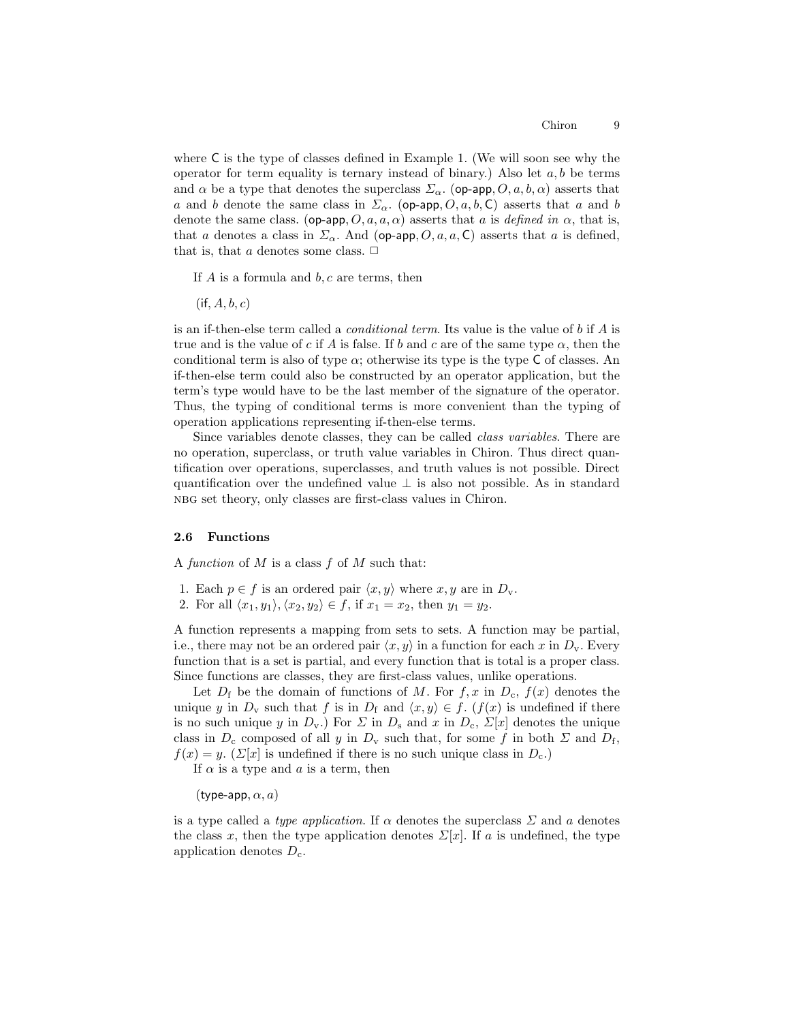where C is the type of classes defined in Example 1. (We will soon see why the operator for term equality is ternary instead of binary.) Also let  $a, b$  be terms and  $\alpha$  be a type that denotes the superclass  $\Sigma_{\alpha}$ . (op-app,  $O, a, b, \alpha$ ) asserts that a and b denote the same class in  $\Sigma_{\alpha}$ . (op-app, O, a, b, C) asserts that a and b denote the same class. (op-app,  $O, a, a, \alpha$ ) asserts that a is defined in  $\alpha$ , that is, that a denotes a class in  $\Sigma_{\alpha}$ . And (op-app, O, a, a, C) asserts that a is defined, that is, that a denotes some class.  $\Box$ 

If  $A$  is a formula and  $b, c$  are terms, then

 $(i\mathsf{f}, A, b, c)$ 

is an if-then-else term called a *conditional term*. Its value is the value of b if  $\tilde{A}$  is true and is the value of c if A is false. If b and c are of the same type  $\alpha$ , then the conditional term is also of type  $\alpha$ ; otherwise its type is the type C of classes. An if-then-else term could also be constructed by an operator application, but the term's type would have to be the last member of the signature of the operator. Thus, the typing of conditional terms is more convenient than the typing of operation applications representing if-then-else terms.

Since variables denote classes, they can be called class variables. There are no operation, superclass, or truth value variables in Chiron. Thus direct quantification over operations, superclasses, and truth values is not possible. Direct quantification over the undefined value ⊥ is also not possible. As in standard nbg set theory, only classes are first-class values in Chiron.

### 2.6 Functions

A function of  $M$  is a class  $f$  of  $M$  such that:

- 1. Each  $p \in f$  is an ordered pair  $\langle x, y \rangle$  where  $x, y$  are in  $D_{\mathbf{v}}$ .
- 2. For all  $\langle x_1, y_1 \rangle, \langle x_2, y_2 \rangle \in f$ , if  $x_1 = x_2$ , then  $y_1 = y_2$ .

A function represents a mapping from sets to sets. A function may be partial, i.e., there may not be an ordered pair  $\langle x, y \rangle$  in a function for each x in  $D_{\mathbf{v}}$ . Every function that is a set is partial, and every function that is total is a proper class. Since functions are classes, they are first-class values, unlike operations.

Let  $D_f$  be the domain of functions of M. For  $f, x$  in  $D_c, f(x)$  denotes the unique y in  $D_v$  such that f is in  $D_f$  and  $\langle x, y \rangle \in f$ . (f(x) is undefined if there is no such unique y in  $D_v$ .) For  $\Sigma$  in  $D_s$  and x in  $D_c$ ,  $\Sigma[x]$  denotes the unique class in  $D_c$  composed of all y in  $D_v$  such that, for some f in both  $\Sigma$  and  $D_f$ ,  $f(x) = y$ . ( $\Sigma[x]$  is undefined if there is no such unique class in  $D_c$ .)

If  $\alpha$  is a type and  $\alpha$  is a term, then

(type-app,  $\alpha$ ,  $a$ )

is a type called a *type application*. If  $\alpha$  denotes the superclass  $\Sigma$  and a denotes the class x, then the type application denotes  $\Sigma[x]$ . If a is undefined, the type application denotes  $D_{\rm c}$ .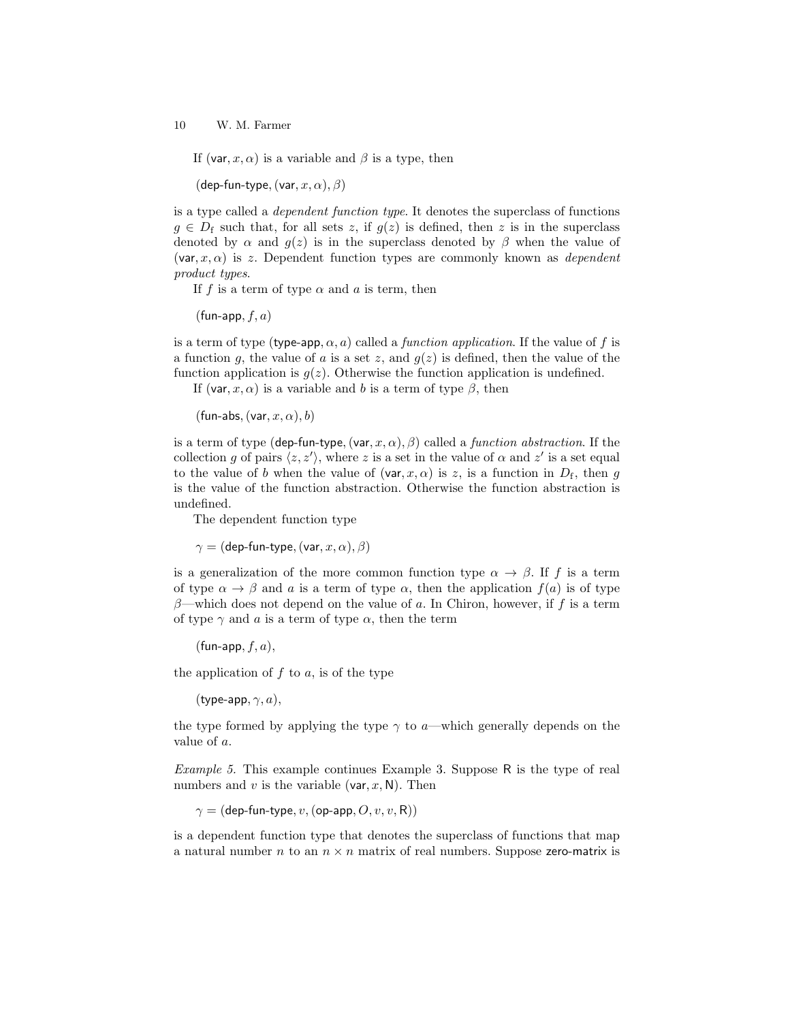If (var, x,  $\alpha$ ) is a variable and  $\beta$  is a type, then

(dep-fun-type,  $(\text{var}, x, \alpha), \beta)$ )

is a type called a dependent function type. It denotes the superclass of functions  $g \in D_f$  such that, for all sets z, if  $g(z)$  is defined, then z is in the superclass denoted by  $\alpha$  and  $g(z)$  is in the superclass denoted by  $\beta$  when the value of  $(\mathsf{var}, x, \alpha)$  is z. Dependent function types are commonly known as *dependent* product types.

If f is a term of type  $\alpha$  and a is term, then

 $(\text{fun-app}, f, a)$ 

is a term of type (type-app,  $\alpha$ , a) called a *function application*. If the value of f is a function q, the value of a is a set z, and  $q(z)$  is defined, then the value of the function application is  $g(z)$ . Otherwise the function application is undefined.

If (var, x,  $\alpha$ ) is a variable and b is a term of type  $\beta$ , then

(fun-abs,  $(\text{var}, x, \alpha)$ , b)

is a term of type (dep-fun-type,  $(\text{var}, x, \alpha)$ ,  $\beta$ ) called a *function abstraction*. If the collection g of pairs  $\langle z, z' \rangle$ , where z is a set in the value of  $\alpha$  and  $z'$  is a set equal to the value of b when the value of  $(\text{var}, x, \alpha)$  is z, is a function in  $D_f$ , then g is the value of the function abstraction. Otherwise the function abstraction is undefined.

The dependent function type

 $\gamma =$  (dep-fun-type, (var,  $x, \alpha$ ),  $\beta$ )

is a generalization of the more common function type  $\alpha \to \beta$ . If f is a term of type  $\alpha \to \beta$  and a is a term of type  $\alpha$ , then the application  $f(a)$  is of type  $\beta$ —which does not depend on the value of a. In Chiron, however, if f is a term of type  $\gamma$  and a is a term of type  $\alpha$ , then the term

 $(\text{fun-app}, f, a),$ 

the application of  $f$  to  $a$ , is of the type

(type-app,  $\gamma$ , a),

the type formed by applying the type  $\gamma$  to a—which generally depends on the value of a.

Example 5. This example continues Example 3. Suppose R is the type of real numbers and v is the variable (var,  $x$ , N). Then

 $\gamma =$  (dep-fun-type, v, (op-app, O, v, v, R))

is a dependent function type that denotes the superclass of functions that map a natural number n to an  $n \times n$  matrix of real numbers. Suppose zero-matrix is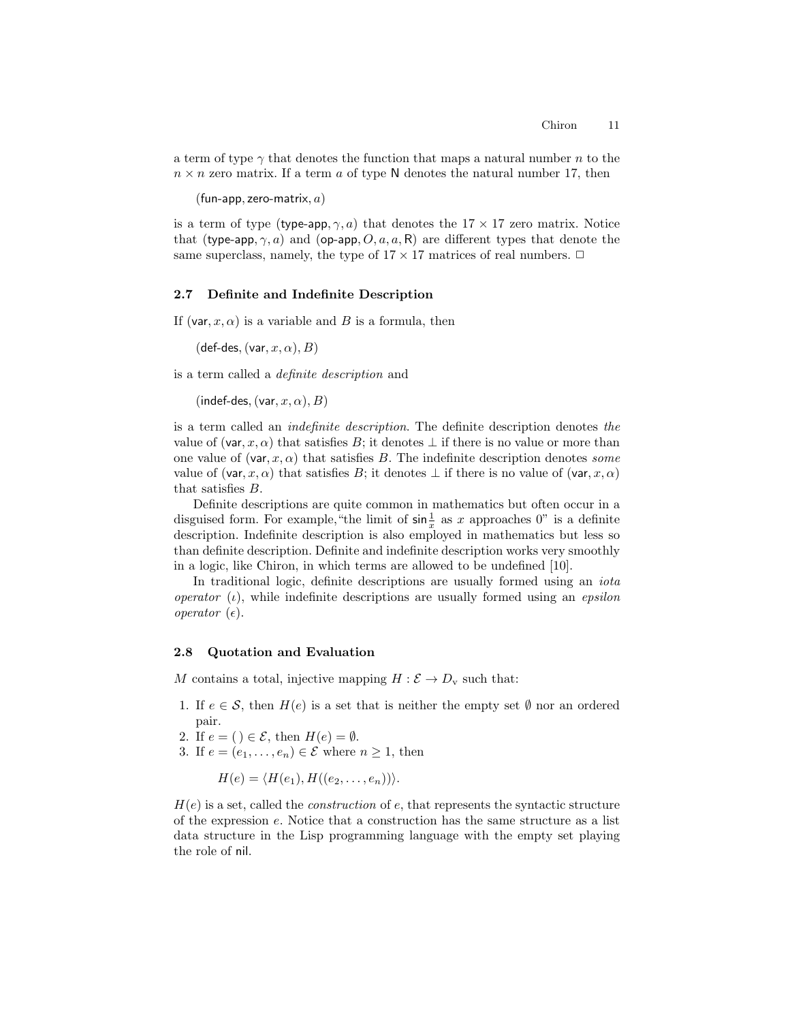a term of type  $\gamma$  that denotes the function that maps a natural number n to the  $n \times n$  zero matrix. If a term a of type N denotes the natural number 17, then

(fun-app, zero-matrix,  $a$ )

is a term of type (type-app,  $\gamma$ , a) that denotes the  $17 \times 17$  zero matrix. Notice that (type-app,  $\gamma$ , a) and (op-app,  $O$ ,  $a$ ,  $a$ , R) are different types that denote the same superclass, namely, the type of  $17 \times 17$  matrices of real numbers.  $\Box$ 

#### 2.7 Definite and Indefinite Description

If (var,  $x, \alpha$ ) is a variable and B is a formula, then

(def-des, (var,  $x, \alpha$ ),  $B$ )

is a term called a definite description and

(indef-des, (var,  $x, \alpha$ ),  $B$ )

is a term called an indefinite description. The definite description denotes the value of (var, x,  $\alpha$ ) that satisfies B; it denotes  $\perp$  if there is no value or more than one value of (var,  $x, \alpha$ ) that satisfies B. The indefinite description denotes some value of (var, x,  $\alpha$ ) that satisfies B; it denotes  $\perp$  if there is no value of (var, x,  $\alpha$ ) that satisfies B.

Definite descriptions are quite common in mathematics but often occur in a disguised form. For example, "the limit of  $\sin \frac{1}{x}$  as x approaches 0" is a definite description. Indefinite description is also employed in mathematics but less so than definite description. Definite and indefinite description works very smoothly in a logic, like Chiron, in which terms are allowed to be undefined [10].

In traditional logic, definite descriptions are usually formed using an *iota* operator  $(\iota)$ , while indefinite descriptions are usually formed using an *epsilon* operator  $(\epsilon)$ .

### 2.8 Quotation and Evaluation

M contains a total, injective mapping  $H : \mathcal{E} \to D_{\rm v}$  such that:

- 1. If  $e \in \mathcal{S}$ , then  $H(e)$  is a set that is neither the empty set  $\emptyset$  nor an ordered pair.
- 2. If  $e = () \in \mathcal{E}$ , then  $H(e) = \emptyset$ .
- 3. If  $e = (e_1, \ldots, e_n) \in \mathcal{E}$  where  $n \geq 1$ , then

$$
H(e) = \langle H(e_1), H((e_2, \ldots, e_n)) \rangle.
$$

 $H(e)$  is a set, called the *construction* of  $e$ , that represents the syntactic structure of the expression e. Notice that a construction has the same structure as a list data structure in the Lisp programming language with the empty set playing the role of nil.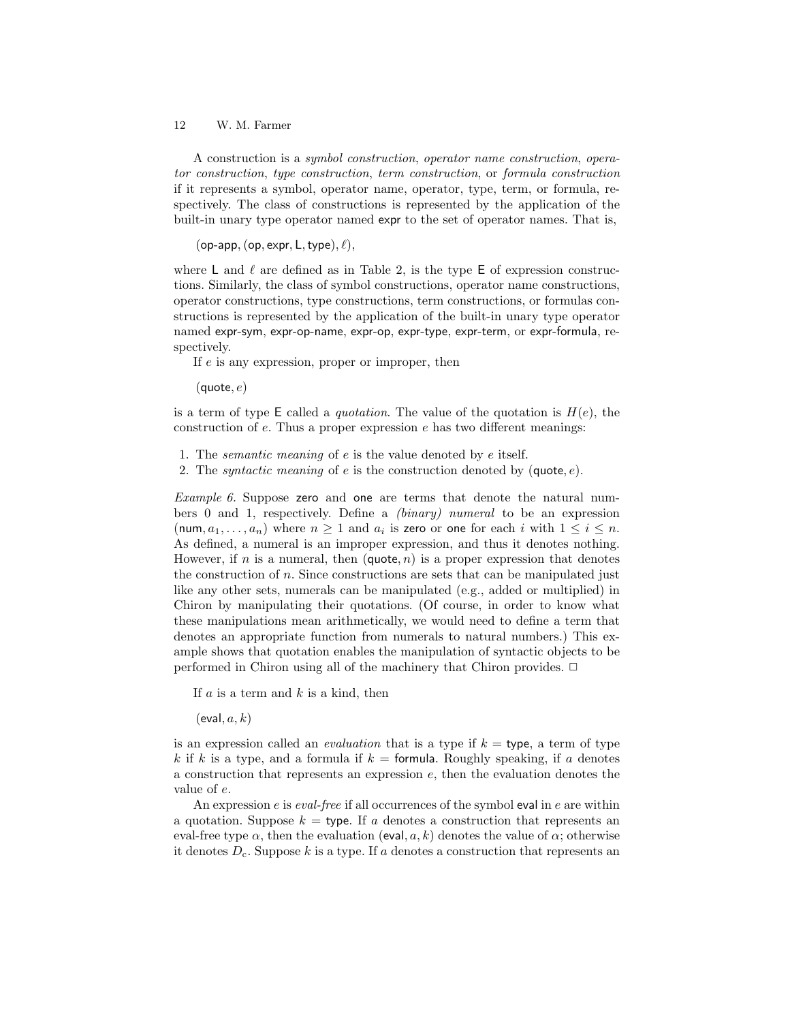A construction is a symbol construction, operator name construction, operator construction, type construction, term construction, or formula construction if it represents a symbol, operator name, operator, type, term, or formula, respectively. The class of constructions is represented by the application of the built-in unary type operator named expr to the set of operator names. That is,

(op-app, (op, expr, L, type),  $\ell$ ),

where L and  $\ell$  are defined as in Table 2, is the type E of expression constructions. Similarly, the class of symbol constructions, operator name constructions, operator constructions, type constructions, term constructions, or formulas constructions is represented by the application of the built-in unary type operator named expr-sym, expr-op-name, expr-op, expr-type, expr-term, or expr-formula, respectively.

If e is any expression, proper or improper, then

 $(\textsf{quote}, e)$ 

is a term of type E called a *quotation*. The value of the quotation is  $H(e)$ , the construction of  $e$ . Thus a proper expression  $e$  has two different meanings:

1. The *semantic meaning* of  $e$  is the value denoted by  $e$  itself.

2. The *syntactic meaning* of e is the construction denoted by (quote,  $e$ ).

Example 6. Suppose zero and one are terms that denote the natural numbers 0 and 1, respectively. Define a (binary) numeral to be an expression (num,  $a_1, \ldots, a_n$ ) where  $n \geq 1$  and  $a_i$  is zero or one for each i with  $1 \leq i \leq n$ . As defined, a numeral is an improper expression, and thus it denotes nothing. However, if n is a numeral, then  $(\text{quote}, n)$  is a proper expression that denotes the construction of n. Since constructions are sets that can be manipulated just like any other sets, numerals can be manipulated (e.g., added or multiplied) in Chiron by manipulating their quotations. (Of course, in order to know what these manipulations mean arithmetically, we would need to define a term that denotes an appropriate function from numerals to natural numbers.) This example shows that quotation enables the manipulation of syntactic objects to be performed in Chiron using all of the machinery that Chiron provides.  $\Box$ 

If  $a$  is a term and  $k$  is a kind, then

 $(eval, a, k)$ 

is an expression called an *evaluation* that is a type if  $k =$  type, a term of type k if k is a type, and a formula if  $k =$  formula. Roughly speaking, if a denotes a construction that represents an expression e, then the evaluation denotes the value of e.

An expression  $e$  is *eval-free* if all occurrences of the symbol eval in  $e$  are within a quotation. Suppose  $k =$  type. If a denotes a construction that represents an eval-free type  $\alpha$ , then the evaluation (eval,  $a, k$ ) denotes the value of  $\alpha$ ; otherwise it denotes  $D_c$ . Suppose k is a type. If a denotes a construction that represents an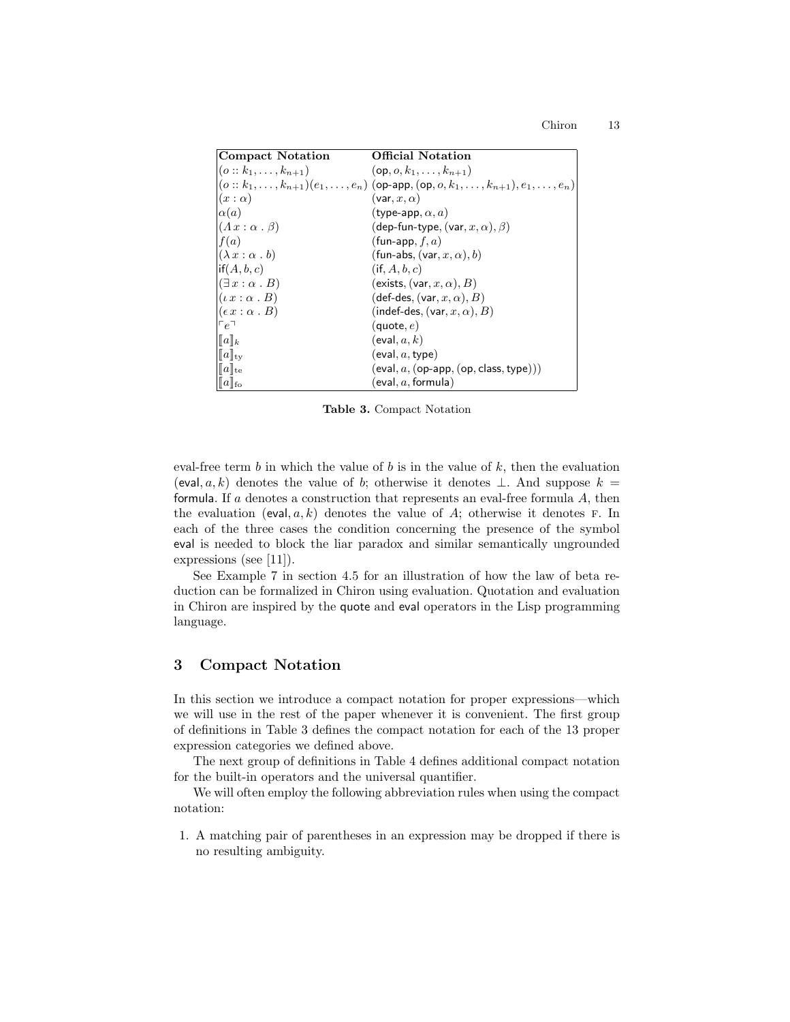| <b>Compact Notation</b>            | <b>Official Notation</b>                                                                                     |
|------------------------------------|--------------------------------------------------------------------------------------------------------------|
| $(o:: k_1, \ldots, k_{n+1})$       | $(op, o, k_1, \ldots, k_{n+1})$                                                                              |
|                                    | $(o:: k_1, \ldots, k_{n+1})(e_1, \ldots, e_n)$ (op-app, $(op, o, k_1, \ldots, k_{n+1}), e_1, \ldots, e_n)$ ) |
| $(x:\alpha)$                       | (var, $x, \alpha$ )                                                                                          |
| $\alpha(a)$                        | (type-app, $\alpha$ , $a$ )                                                                                  |
| $(\Lambda x : \alpha \cdot \beta)$ | (dep-fun-type, $(\text{var}, x, \alpha)$ , $\beta$ )                                                         |
| f(a)                               | (fun-app, $f, a$ )                                                                                           |
| $(\lambda x : \alpha \cdot b)$     | (fun-abs, $(\text{var}, x, \alpha)$ , b)                                                                     |
| $\vert \text{if}(A,b,c) \vert$     | $(i\mathsf{f},A,b,c)$                                                                                        |
| $(\exists x : \alpha \cdot B)$     | (exists, $(\mathsf{var}, x, \alpha)$ , $B$ )                                                                 |
| $(\iota x : \alpha \cdot B)$       | $(\mathsf{def}\text{-}\mathsf{des}, (\mathsf{var}, x, \alpha), B)$                                           |
| $(\epsilon x : \alpha \cdot B)$    | (indef-des, $(\text{var}, x, \alpha)$ , B)                                                                   |
| $\ulcorner e \urcorner$            | $(\textsf{quote}, e)$                                                                                        |
| $  a  _k$                          | (eval, a, k)                                                                                                 |
| $  a  _{\rm tv}$                   | (eval, a, type)                                                                                              |
| $  a  _{te}$                       | $(\textsf{eval}, a, (\textsf{op-app}, (\textsf{op}, \textsf{class}, \textsf{type})))$                        |
| $\ a\ _{\text{fo}}$                | (eval, $a,$ formula)                                                                                         |

Table 3. Compact Notation

eval-free term  $b$  in which the value of  $b$  is in the value of  $k$ , then the evaluation (eval, a, k) denotes the value of b; otherwise it denotes  $\perp$ . And suppose  $k =$ formula. If a denotes a construction that represents an eval-free formula  $A$ , then the evaluation (eval,  $a, k$ ) denotes the value of A; otherwise it denotes F. In each of the three cases the condition concerning the presence of the symbol eval is needed to block the liar paradox and similar semantically ungrounded expressions (see [11]).

See Example 7 in section 4.5 for an illustration of how the law of beta reduction can be formalized in Chiron using evaluation. Quotation and evaluation in Chiron are inspired by the quote and eval operators in the Lisp programming language.

# 3 Compact Notation

In this section we introduce a compact notation for proper expressions—which we will use in the rest of the paper whenever it is convenient. The first group of definitions in Table 3 defines the compact notation for each of the 13 proper expression categories we defined above.

The next group of definitions in Table 4 defines additional compact notation for the built-in operators and the universal quantifier.

We will often employ the following abbreviation rules when using the compact notation:

1. A matching pair of parentheses in an expression may be dropped if there is no resulting ambiguity.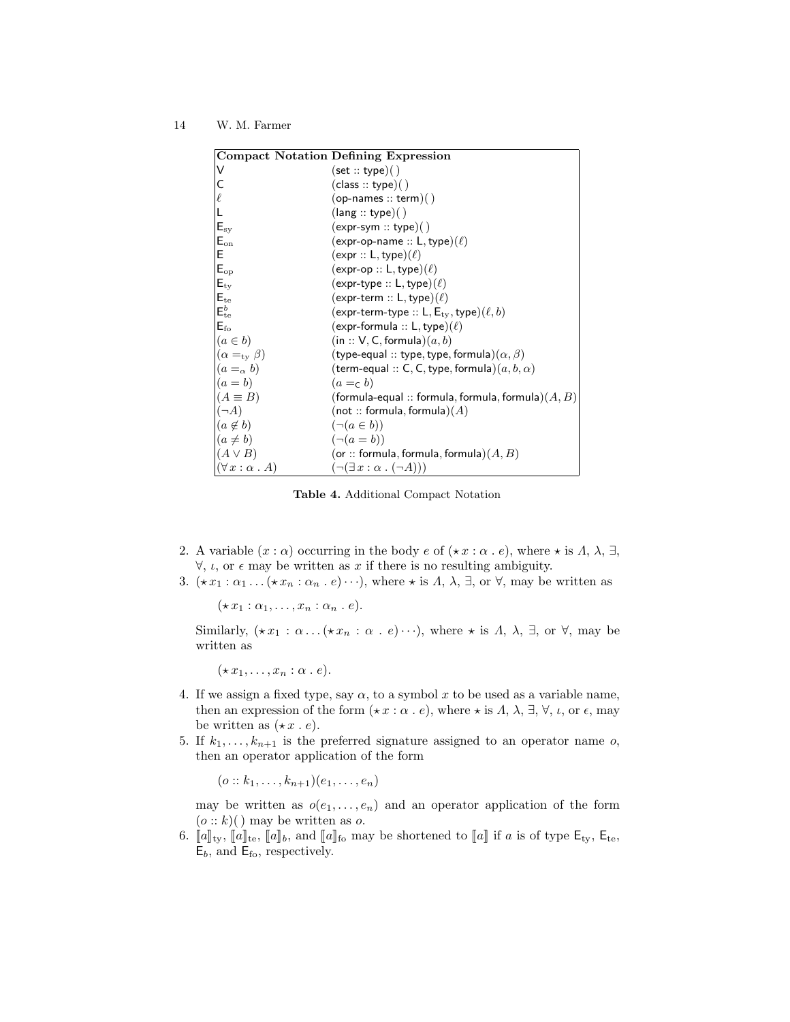| <b>Compact Notation Defining Expression</b> |                                                         |  |
|---------------------------------------------|---------------------------------------------------------|--|
| v                                           | (set::type)( )                                          |  |
| C                                           | $(\text{class} :: \text{type})()$                       |  |
| l                                           | $(op{\text -}names::term)()$                            |  |
|                                             | (lang::type)()                                          |  |
| $E_{\rm sy}$                                | $(expr-sym :: type)( )$                                 |  |
| $E_{on}$                                    | $(expr-op-name :: L, type)(\ell)$                       |  |
| E                                           | $(expr :: L, type)(\ell)$                               |  |
| $E_{op}$                                    | $(expr-op :: L, type)(\ell)$                            |  |
| $E_{\rm ty}$                                | $(expr-type:: L, type)(\ell)$                           |  |
| $E_{te}$                                    | $(expr-term :: L, type)(\ell)$                          |  |
| $E_{te}^b$                                  | (expr-term-type :: L, $E_{\rm tv}$ , type)( $\ell, b$ ) |  |
| $E_{\rm fo}$                                | $(expr-formula :: L, type)(\ell)$                       |  |
| $(a \in b)$                                 | (in :: V, C, formula) $(a, b)$                          |  |
| $(\alpha =_{\rm ty} \beta)$                 | (type-equal :: type, type, formula) $(\alpha, \beta)$   |  |
| $(a =_{\alpha} b)$                          | (term-equal :: C, C, type, formula) $(a, b, \alpha)$    |  |
| $(a = b)$                                   | $(a = c b)$                                             |  |
| $(A \equiv B)$                              | (formula-equal :: formula, formula, formula) $(A, B)$   |  |
| $ (\neg A)$                                 | (not :: formula, formula) $(A)$                         |  |
| $(a \notin b)$                              | $(\neg (a \in b))$                                      |  |
| $(a \neq b)$                                | $(\neg (a = b))$                                        |  |
| $(A \vee B)$                                | (or :: formula, formula, formula) $(A, B)$              |  |
| $(\forall x : \alpha \cdot A)$              | $(\neg(\exists x : \alpha \cdot (\neg A)))$             |  |

Table 4. Additional Compact Notation

- 2. A variable  $(x : \alpha)$  occurring in the body  $e$  of  $(\star x : \alpha \cdot e)$ , where  $\star$  is  $\Lambda$ ,  $\lambda$ ,  $\exists$ ,  $\forall$ ,  $\iota$ , or  $\epsilon$  may be written as x if there is no resulting ambiguity.
- 3.  $(\star x_1 : \alpha_1 \dots (\star x_n : \alpha_n \dots e) \dots)$ , where  $\star$  is  $\Lambda$ ,  $\lambda$ ,  $\exists$ , or  $\forall$ , may be written as

 $(\star x_1 : \alpha_1, \ldots, x_n : \alpha_n . e).$ 

Similarly,  $(\star x_1 : \alpha \dots (\star x_n : \alpha \dots e) \dots)$ , where  $\star$  is  $\Lambda$ ,  $\lambda$ ,  $\exists$ , or  $\forall$ , may be written as

 $(\star x_1, \ldots, x_n : \alpha \cdot e).$ 

- 4. If we assign a fixed type, say  $\alpha$ , to a symbol x to be used as a variable name, then an expression of the form  $(\star x : \alpha \cdot e)$ , where  $\star$  is  $\Lambda$ ,  $\lambda$ ,  $\exists$ ,  $\forall$ ,  $\iota$ , or  $\epsilon$ , may be written as  $(\star x \cdot e)$ .
- 5. If  $k_1, \ldots, k_{n+1}$  is the preferred signature assigned to an operator name o, then an operator application of the form

 $(o:: k_1, \ldots, k_{n+1})(e_1, \ldots, e_n)$ 

may be written as  $o(e_1, \ldots, e_n)$  and an operator application of the form  $(o:: k)($  may be written as o.

6.  $[\![a]\!]_{\text{tv}}, [\![a]\!]_{\text{te}}, [\![a]\!]_b$ , and  $[\![a]\!]_{\text{fo}}$  may be shortened to  $[\![a]\!]$  if a is of type  $\mathsf{E}_{\text{ty}}, \mathsf{E}_{\text{te}},$  $E_b$ , and  $E_{\text{fo}}$ , respectively.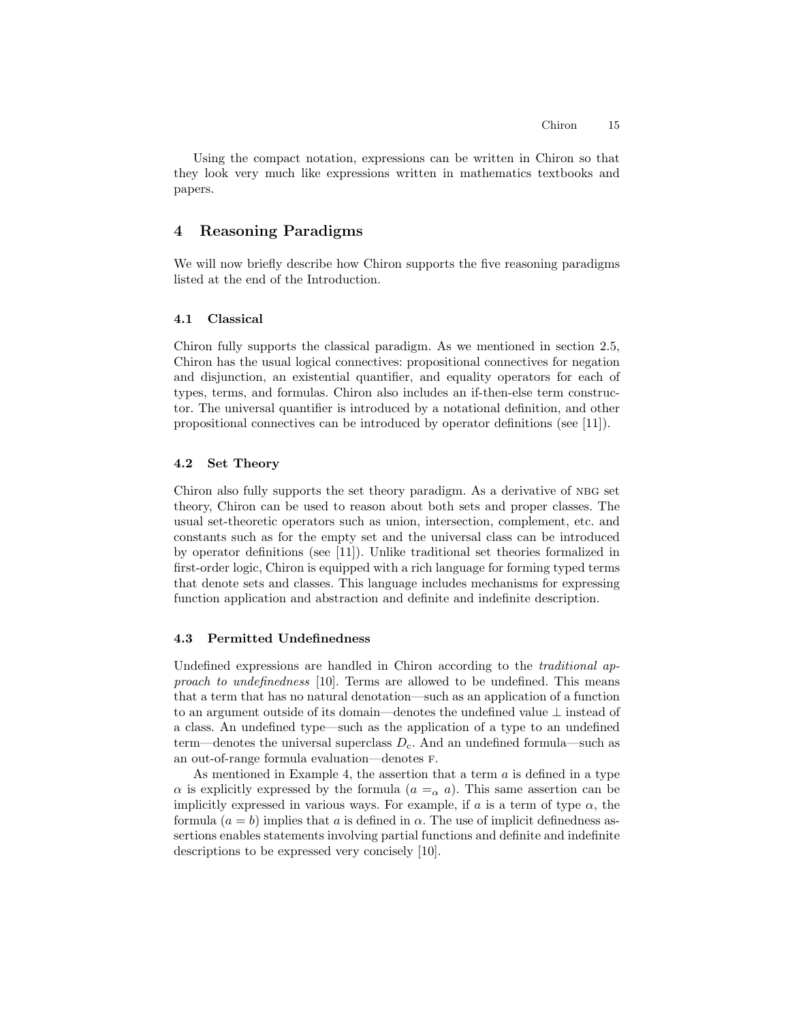Using the compact notation, expressions can be written in Chiron so that they look very much like expressions written in mathematics textbooks and papers.

# 4 Reasoning Paradigms

We will now briefly describe how Chiron supports the five reasoning paradigms listed at the end of the Introduction.

### 4.1 Classical

Chiron fully supports the classical paradigm. As we mentioned in section 2.5, Chiron has the usual logical connectives: propositional connectives for negation and disjunction, an existential quantifier, and equality operators for each of types, terms, and formulas. Chiron also includes an if-then-else term constructor. The universal quantifier is introduced by a notational definition, and other propositional connectives can be introduced by operator definitions (see [11]).

### 4.2 Set Theory

Chiron also fully supports the set theory paradigm. As a derivative of nbg set theory, Chiron can be used to reason about both sets and proper classes. The usual set-theoretic operators such as union, intersection, complement, etc. and constants such as for the empty set and the universal class can be introduced by operator definitions (see [11]). Unlike traditional set theories formalized in first-order logic, Chiron is equipped with a rich language for forming typed terms that denote sets and classes. This language includes mechanisms for expressing function application and abstraction and definite and indefinite description.

### 4.3 Permitted Undefinedness

Undefined expressions are handled in Chiron according to the traditional approach to undefinedness [10]. Terms are allowed to be undefined. This means that a term that has no natural denotation—such as an application of a function to an argument outside of its domain—denotes the undefined value ⊥ instead of a class. An undefined type—such as the application of a type to an undefined term—denotes the universal superclass  $D_c$ . And an undefined formula—such as an out-of-range formula evaluation—denotes f.

As mentioned in Example 4, the assertion that a term  $a$  is defined in a type  $\alpha$  is explicitly expressed by the formula  $(a = \alpha a)$ . This same assertion can be implicitly expressed in various ways. For example, if a is a term of type  $\alpha$ , the formula  $(a = b)$  implies that a is defined in  $\alpha$ . The use of implicit definedness assertions enables statements involving partial functions and definite and indefinite descriptions to be expressed very concisely [10].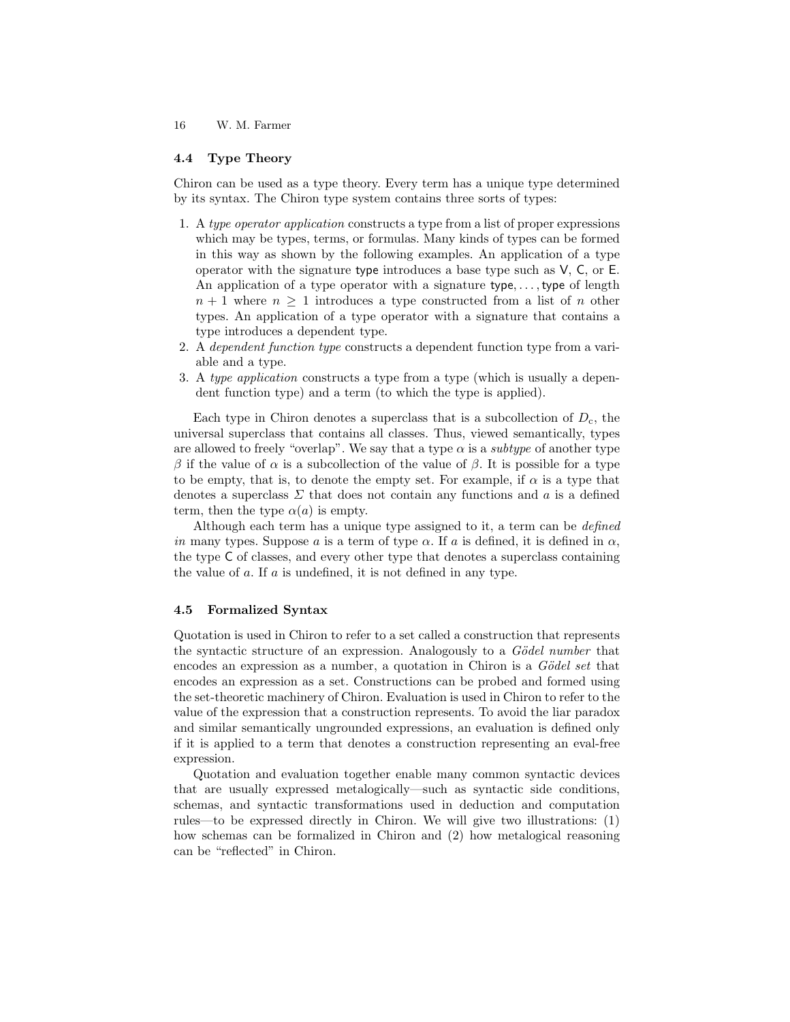#### 4.4 Type Theory

Chiron can be used as a type theory. Every term has a unique type determined by its syntax. The Chiron type system contains three sorts of types:

- 1. A type operator application constructs a type from a list of proper expressions which may be types, terms, or formulas. Many kinds of types can be formed in this way as shown by the following examples. An application of a type operator with the signature type introduces a base type such as V, C, or E. An application of a type operator with a signature type,..., type of length  $n + 1$  where  $n \geq 1$  introduces a type constructed from a list of n other types. An application of a type operator with a signature that contains a type introduces a dependent type.
- 2. A dependent function type constructs a dependent function type from a variable and a type.
- 3. A type application constructs a type from a type (which is usually a dependent function type) and a term (to which the type is applied).

Each type in Chiron denotes a superclass that is a subcollection of  $D<sub>c</sub>$ , the universal superclass that contains all classes. Thus, viewed semantically, types are allowed to freely "overlap". We say that a type  $\alpha$  is a *subtype* of another type β if the value of  $\alpha$  is a subcollection of the value of β. It is possible for a type to be empty, that is, to denote the empty set. For example, if  $\alpha$  is a type that denotes a superclass  $\Sigma$  that does not contain any functions and a is a defined term, then the type  $\alpha(a)$  is empty.

Although each term has a unique type assigned to it, a term can be defined in many types. Suppose a is a term of type  $\alpha$ . If a is defined, it is defined in  $\alpha$ , the type C of classes, and every other type that denotes a superclass containing the value of a. If a is undefined, it is not defined in any type.

### 4.5 Formalized Syntax

Quotation is used in Chiron to refer to a set called a construction that represents the syntactic structure of an expression. Analogously to a  $Gödel$  number that encodes an expression as a number, a quotation in Chiron is a  $Gödel set$  that encodes an expression as a set. Constructions can be probed and formed using the set-theoretic machinery of Chiron. Evaluation is used in Chiron to refer to the value of the expression that a construction represents. To avoid the liar paradox and similar semantically ungrounded expressions, an evaluation is defined only if it is applied to a term that denotes a construction representing an eval-free expression.

Quotation and evaluation together enable many common syntactic devices that are usually expressed metalogically—such as syntactic side conditions, schemas, and syntactic transformations used in deduction and computation rules—to be expressed directly in Chiron. We will give two illustrations: (1) how schemas can be formalized in Chiron and (2) how metalogical reasoning can be "reflected" in Chiron.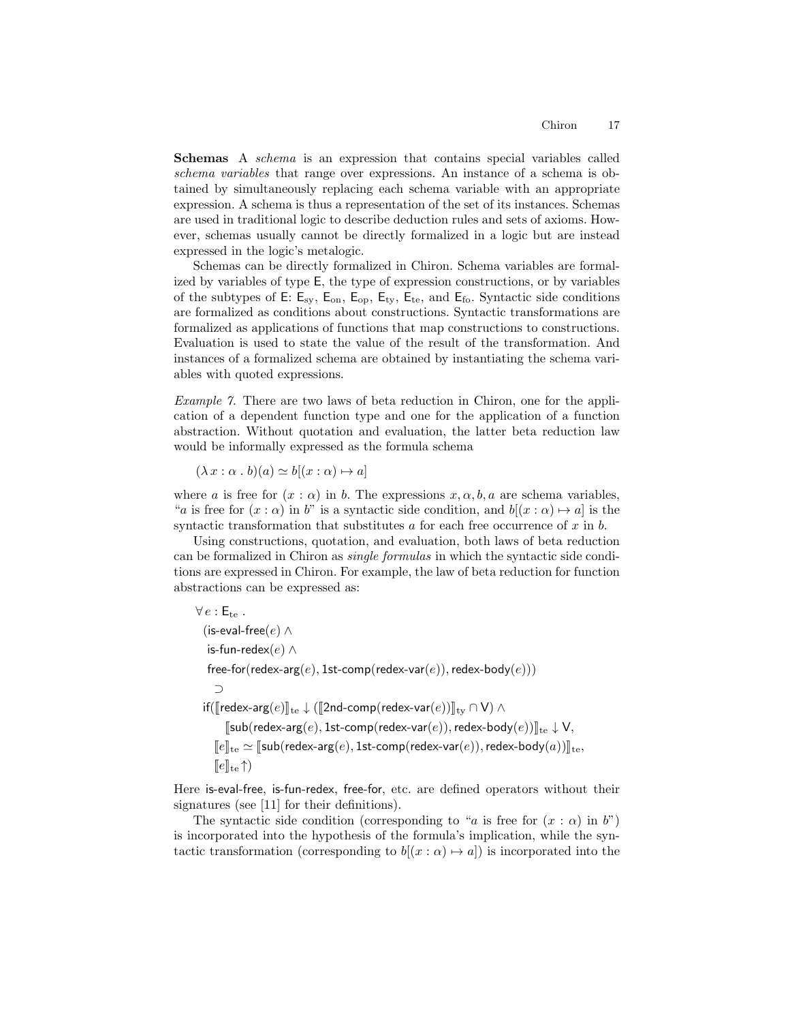Schemas A schema is an expression that contains special variables called schema variables that range over expressions. An instance of a schema is obtained by simultaneously replacing each schema variable with an appropriate expression. A schema is thus a representation of the set of its instances. Schemas are used in traditional logic to describe deduction rules and sets of axioms. However, schemas usually cannot be directly formalized in a logic but are instead expressed in the logic's metalogic.

Schemas can be directly formalized in Chiron. Schema variables are formalized by variables of type E, the type of expression constructions, or by variables of the subtypes of E:  $E_{sy}$ ,  $E_{\text{on}}$ ,  $E_{\text{op}}$ ,  $E_{ty}$ ,  $E_{te}$ , and  $E_{fo}$ . Syntactic side conditions are formalized as conditions about constructions. Syntactic transformations are formalized as applications of functions that map constructions to constructions. Evaluation is used to state the value of the result of the transformation. And instances of a formalized schema are obtained by instantiating the schema variables with quoted expressions.

Example 7. There are two laws of beta reduction in Chiron, one for the application of a dependent function type and one for the application of a function abstraction. Without quotation and evaluation, the latter beta reduction law would be informally expressed as the formula schema

 $(\lambda x : \alpha \cdot b)(a) \simeq b[(x : \alpha) \mapsto a]$ 

where a is free for  $(x : \alpha)$  in b. The expressions  $x, \alpha, b, a$  are schema variables, "a is free for  $(x : \alpha)$  in b" is a syntactic side condition, and  $b[(x : \alpha) \mapsto a]$  is the syntactic transformation that substitutes  $a$  for each free occurrence of  $x$  in  $b$ .

Using constructions, quotation, and evaluation, both laws of beta reduction can be formalized in Chiron as single formulas in which the syntactic side conditions are expressed in Chiron. For example, the law of beta reduction for function abstractions can be expressed as:

 $\forall e : \mathsf{E}_{te}$ . (is-eval-free( $e$ ) ∧ is-fun-redex(e) ∧ free-for(redex-arg(e), 1st-comp(redex-var(e)), redex-body(e))) ⊃ if( $[[$ redex-arg $(e)]]_{te}$  ↓ ( $[[2nd\text{-}comp(\text{redex-var}(e))]_{ty} \cap V$ ) ∧  $\llbracket \mathsf{sub}(\mathsf{redex-arg}(e), \mathsf{1st-comp}(\mathsf{redex-var}(e)), \mathsf{redex-body}(e)) \rrbracket_{\mathsf{te}} \downarrow \mathsf{V},$  $\llbracket e \rrbracket_{\text{te}} \simeq \llbracket \mathsf{sub}(\mathsf{redex-arg}(e), \mathsf{1st-comp}(\mathsf{redex-var}(e)), \mathsf{redex-body}(a)) \rrbracket_{\text{te}},$  $\llbracket e \rrbracket_{\text{te}} \uparrow$ 

Here is-eval-free, is-fun-redex, free-for, etc. are defined operators without their signatures (see [11] for their definitions).

The syntactic side condition (corresponding to "a is free for  $(x : \alpha)$  in b") is incorporated into the hypothesis of the formula's implication, while the syntactic transformation (corresponding to  $b[(x : \alpha) \mapsto a]$ ) is incorporated into the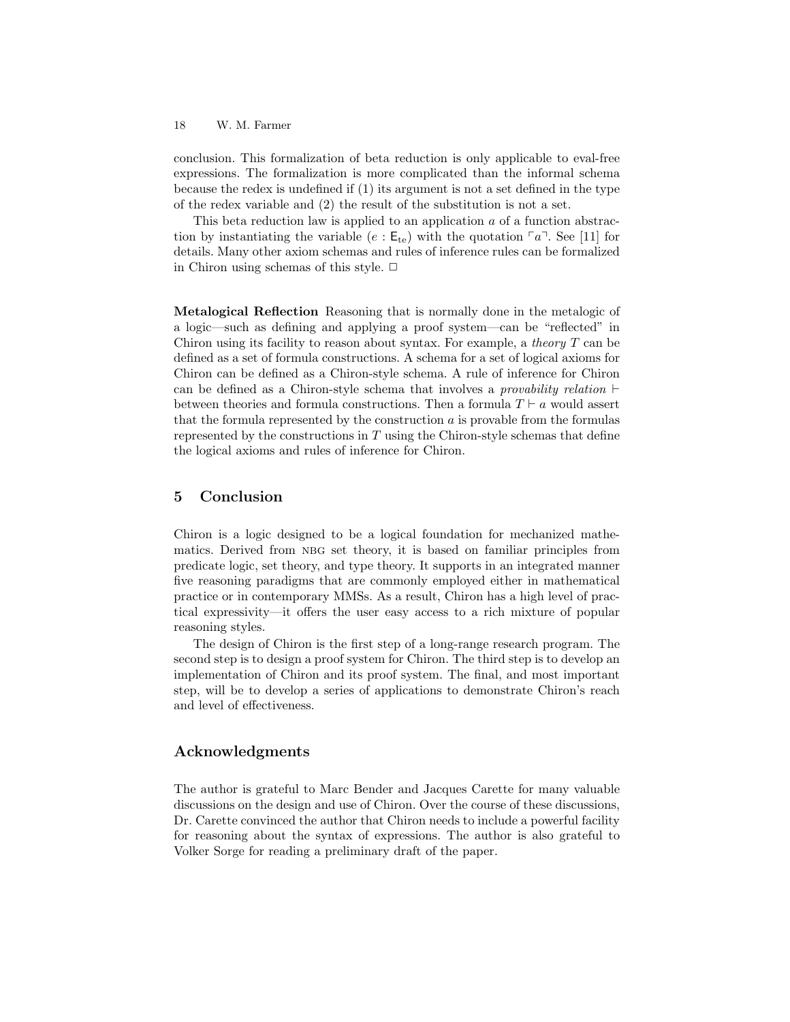conclusion. This formalization of beta reduction is only applicable to eval-free expressions. The formalization is more complicated than the informal schema because the redex is undefined if (1) its argument is not a set defined in the type of the redex variable and (2) the result of the substitution is not a set.

This beta reduction law is applied to an application a of a function abstraction by instantiating the variable (e :  $E_{te}$ ) with the quotation  $\lceil a \rceil$ . See [11] for details. Many other axiom schemas and rules of inference rules can be formalized in Chiron using schemas of this style.  $\Box$ 

Metalogical Reflection Reasoning that is normally done in the metalogic of a logic—such as defining and applying a proof system—can be "reflected" in Chiron using its facility to reason about syntax. For example, a *theory*  $T$  can be defined as a set of formula constructions. A schema for a set of logical axioms for Chiron can be defined as a Chiron-style schema. A rule of inference for Chiron can be defined as a Chiron-style schema that involves a *provability relation*  $\vdash$ between theories and formula constructions. Then a formula  $T \vdash a$  would assert that the formula represented by the construction  $a$  is provable from the formulas represented by the constructions in  $T$  using the Chiron-style schemas that define the logical axioms and rules of inference for Chiron.

# 5 Conclusion

Chiron is a logic designed to be a logical foundation for mechanized mathematics. Derived from nbg set theory, it is based on familiar principles from predicate logic, set theory, and type theory. It supports in an integrated manner five reasoning paradigms that are commonly employed either in mathematical practice or in contemporary MMSs. As a result, Chiron has a high level of practical expressivity—it offers the user easy access to a rich mixture of popular reasoning styles.

The design of Chiron is the first step of a long-range research program. The second step is to design a proof system for Chiron. The third step is to develop an implementation of Chiron and its proof system. The final, and most important step, will be to develop a series of applications to demonstrate Chiron's reach and level of effectiveness.

# Acknowledgments

The author is grateful to Marc Bender and Jacques Carette for many valuable discussions on the design and use of Chiron. Over the course of these discussions, Dr. Carette convinced the author that Chiron needs to include a powerful facility for reasoning about the syntax of expressions. The author is also grateful to Volker Sorge for reading a preliminary draft of the paper.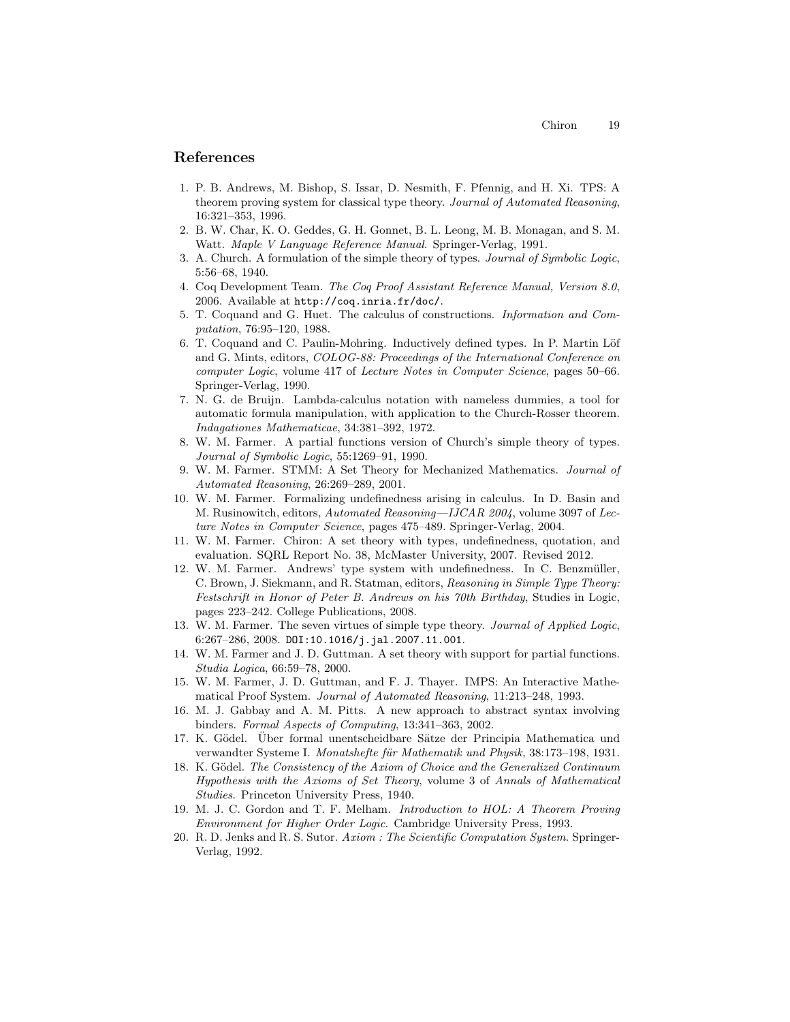# References

- 1. P. B. Andrews, M. Bishop, S. Issar, D. Nesmith, F. Pfennig, and H. Xi. TPS: A theorem proving system for classical type theory. Journal of Automated Reasoning, 16:321–353, 1996.
- 2. B. W. Char, K. O. Geddes, G. H. Gonnet, B. L. Leong, M. B. Monagan, and S. M. Watt. Maple V Language Reference Manual. Springer-Verlag, 1991.
- 3. A. Church. A formulation of the simple theory of types. Journal of Symbolic Logic, 5:56–68, 1940.
- 4. Coq Development Team. The Coq Proof Assistant Reference Manual, Version 8.0, 2006. Available at http://coq.inria.fr/doc/.
- 5. T. Coquand and G. Huet. The calculus of constructions. Information and Computation, 76:95–120, 1988.
- 6. T. Coquand and C. Paulin-Mohring. Inductively defined types. In P. Martin Löf and G. Mints, editors, COLOG-88: Proceedings of the International Conference on computer Logic, volume 417 of Lecture Notes in Computer Science, pages 50–66. Springer-Verlag, 1990.
- 7. N. G. de Bruijn. Lambda-calculus notation with nameless dummies, a tool for automatic formula manipulation, with application to the Church-Rosser theorem. Indagationes Mathematicae, 34:381–392, 1972.
- 8. W. M. Farmer. A partial functions version of Church's simple theory of types. Journal of Symbolic Logic, 55:1269–91, 1990.
- 9. W. M. Farmer. STMM: A Set Theory for Mechanized Mathematics. Journal of Automated Reasoning, 26:269–289, 2001.
- 10. W. M. Farmer. Formalizing undefinedness arising in calculus. In D. Basin and M. Rusinowitch, editors, Automated Reasoning—IJCAR 2004, volume 3097 of Lecture Notes in Computer Science, pages 475–489. Springer-Verlag, 2004.
- 11. W. M. Farmer. Chiron: A set theory with types, undefinedness, quotation, and evaluation. SQRL Report No. 38, McMaster University, 2007. Revised 2012.
- 12. W. M. Farmer. Andrews' type system with undefinedness. In C. Benzmüller, C. Brown, J. Siekmann, and R. Statman, editors, Reasoning in Simple Type Theory: Festschrift in Honor of Peter B. Andrews on his 70th Birthday, Studies in Logic, pages 223–242. College Publications, 2008.
- 13. W. M. Farmer. The seven virtues of simple type theory. Journal of Applied Logic, 6:267–286, 2008. DOI:10.1016/j.jal.2007.11.001.
- 14. W. M. Farmer and J. D. Guttman. A set theory with support for partial functions. Studia Logica, 66:59–78, 2000.
- 15. W. M. Farmer, J. D. Guttman, and F. J. Thayer. IMPS: An Interactive Mathematical Proof System. Journal of Automated Reasoning, 11:213–248, 1993.
- 16. M. J. Gabbay and A. M. Pitts. A new approach to abstract syntax involving binders. Formal Aspects of Computing, 13:341–363, 2002.
- 17. K. Gödel. Über formal unentscheidbare Sätze der Principia Mathematica und verwandter Systeme I. Monatshefte für Mathematik und Physik, 38:173–198, 1931.
- 18. K. Gödel. The Consistency of the Axiom of Choice and the Generalized Continuum Hypothesis with the Axioms of Set Theory, volume 3 of Annals of Mathematical Studies. Princeton University Press, 1940.
- 19. M. J. C. Gordon and T. F. Melham. Introduction to HOL: A Theorem Proving Environment for Higher Order Logic. Cambridge University Press, 1993.
- 20. R. D. Jenks and R. S. Sutor. Axiom : The Scientific Computation System. Springer-Verlag, 1992.